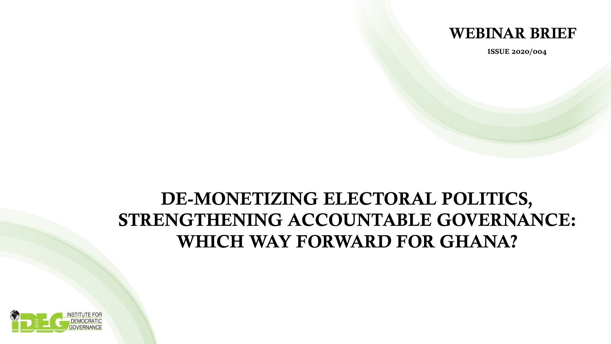

**ISSUE 2020/004**

## DE-MONETIZING ELECTORAL POLITICS, STRENGTHENING ACCOUNTABLE GOVERNANCE: WHICH WAY FORWARD FOR GHANA?

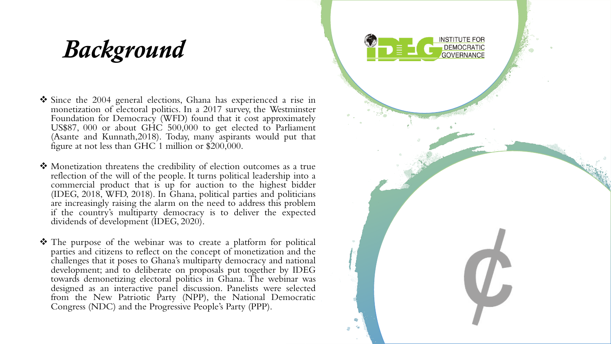# *Background*

- ❖ Since the 2004 general elections, Ghana has experienced a rise in monetization of electoral politics. In a 2017 survey, the Westminster Foundation for Democracy (WFD) found that it cost approximately US\$87, 000 or about GHC 500,000 to get elected to Parliament (Asante and Kunnath,2018). Today, many aspirants would put that figure at not less than GHC 1 million or \$200,000.
- ❖ Monetization threatens the credibility of election outcomes as a true reflection of the will of the people. It turns political leadership into a commercial product that is up for auction to the highest bidder (IDEG, 2018, WFD, 2018). In Ghana, political parties and politicians are increasingly raising the alarm on the need to address this problem if the country's multiparty democracy is to deliver the expected dividends of development (IDEG, 2020).
- ❖ The purpose of the webinar was to create a platform for political parties and citizens to reflect on the concept of monetization and the challenges that it poses to Ghana's multiparty democracy and national development; and to deliberate on proposals put together by IDEG towards demonetizing electoral politics in Ghana. The webinar was designed as an interactive panel discussion. Panelists were selected from the New Patriotic Party (NPP), the National Democratic Congress (NDC) and the Progressive People's Party (PPP).

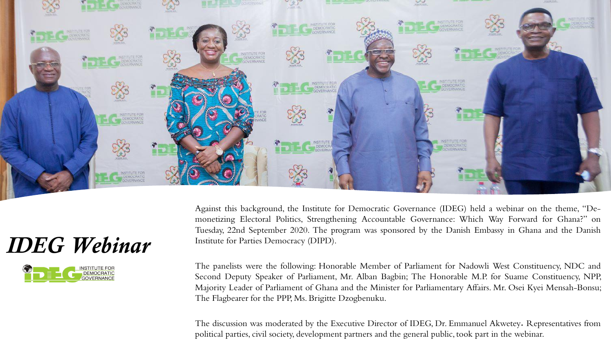

## *IDEG Webinar*



Against this background, the Institute for Democratic Governance (IDEG) held a webinar on the theme, "Demonetizing Electoral Politics, Strengthening Accountable Governance: Which Way Forward for Ghana?" on Tuesday, 22nd September 2020. The program was sponsored by the Danish Embassy in Ghana and the Danish Institute for Parties Democracy (DIPD).

The panelists were the following: Honorable Member of Parliament for Nadowli West Constituency, NDC and Second Deputy Speaker of Parliament, Mr. Alban Bagbin; The Honorable M.P. for Suame Constituency, NPP, Majority Leader of Parliament of Ghana and the Minister for Parliamentary Affairs. Mr. Osei Kyei Mensah-Bonsu; The Flagbearer for the PPP, Ms. Brigitte Dzogbenuku.

The discussion was moderated by the Executive Director of IDEG, Dr. Emmanuel Akwetey*.* Representatives from political parties, civil society, development partners and the general public, took part in the webinar.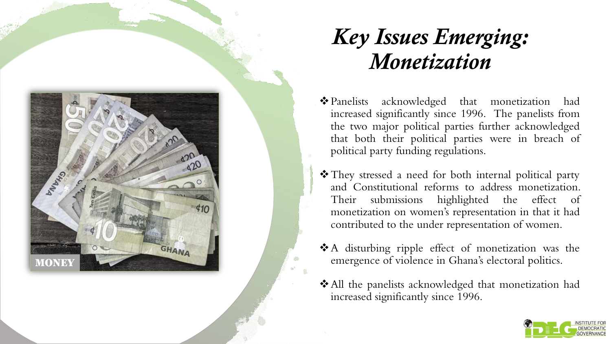

# *Key Issues Emerging: Monetization*

- ❖Panelists acknowledged that monetization had increased significantly since 1996 . The panelists from the two major political parties further acknowledged that both their political parties were in breach of political party funding regulations .
- ❖They stressed a need for both internal political party and Constitutional reforms to address monetization . Their submissions highlighted the effect of monetization on women's representation in that it had contributed to the under representation of women .
- ❖ A disturbing ripple effect of monetization was the emergence of violence in Ghana's electoral politics .
- ❖All the panelists acknowledged that monetization had increased significantly since 1996 .

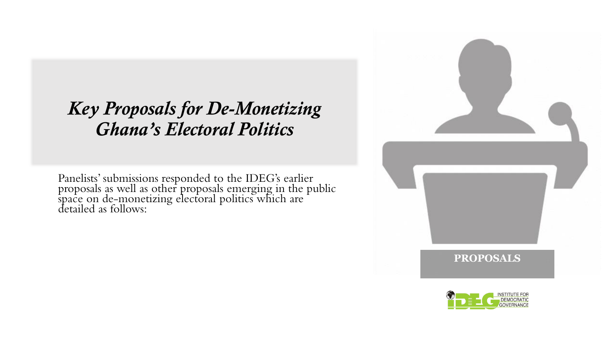#### *Key Proposals for De-Monetizing Ghana's Electoral Politics*

Panelists' submissions responded to the IDEG's earlier proposals as well as other proposals emerging in the public  $\frac{1}{2}$ space on de-monetizing electoral politics which are detailed as follows:



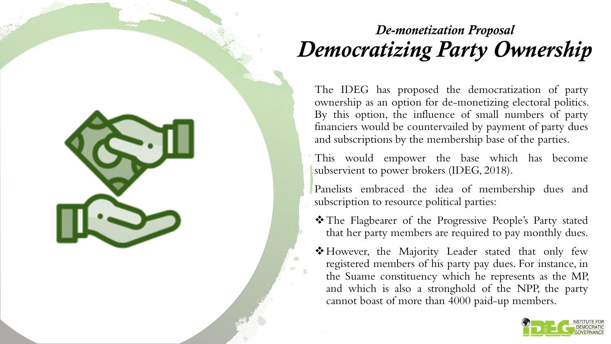## *De-monetization Proposal Democratizing Party Ownership*

The IDEG has proposed the democratization of party ownership as an option for de-monetizing electoral politics. By this option, the influence of small numbers of party financiers would be countervailed by payment of party dues and subscriptions by the membership base of the parties.

This would empower the base which has become subservient to power brokers (IDEG, 2018).

Panelists embraced the idea of membership dues and subscription to resource political parties:

- ❖The Flagbearer of the Progressive People's Party stated that her party members are required to pay monthly dues.
- ❖However, the Majority Leader stated that only few registered members of his party pay dues. For instance, in the Suame constituency which he represents as the MP, and which is also a stronghold of the NPP, the party cannot boast of more than 4000 paid-up members.

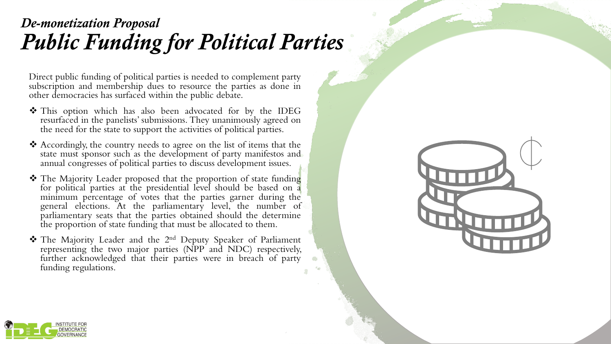#### *De-monetization Proposal Public Funding for Political Parties*

Direct public funding of political parties is needed to complement party subscription and membership dues to resource the parties as done in other democracies has surfaced within the public debate.

- ❖ This option which has also been advocated for by the IDEG resurfaced in the panelists' submissions. They unanimously agreed on the need for the state to support the activities of political parties.
- ❖ Accordingly, the country needs to agree on the list of items that the state must sponsor such as the development of party manifestos and annual congresses of political parties to discuss development issues.
- ❖ The Majority Leader proposed that the proportion of state funding for political parties at the presidential level should be based on a minimum percentage of votes that the parties garner during the general elections. At the parliamentary level, the number of parliamentary seats that the parties obtained should the determine the proportion of state funding that must be allocated to them.
- ❖ The Majority Leader and the 2 nd Deputy Speaker of Parliament representing the two major parties (NPP and NDC) respectively, further acknowledged that their parties were in breach of party funding regulations.



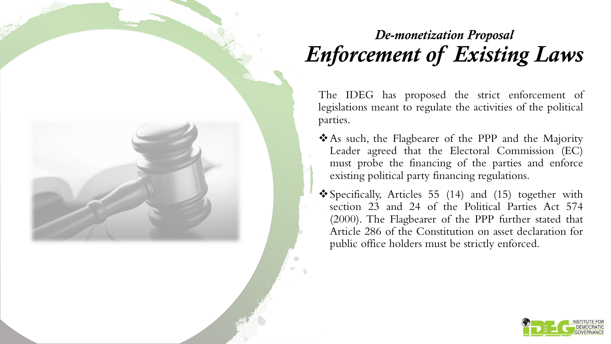#### *De-monetization Proposal Enforcement of Existing Laws*

The IDEG has proposed the strict enforcement of legislations meant to regulate the activities of the political parties.

- ❖As such, the Flagbearer of the PPP and the Majority Leader agreed that the Electoral Commission (EC) must probe the financing of the parties and enforce existing political party financing regulations.
- ❖Specifically, Articles 55 (14) and (15) together with section 23 and 24 of the Political Parties Act 574 (2000). The Flagbearer of the PPP further stated that Article 286 of the Constitution on asset declaration for public office holders must be strictly enforced.

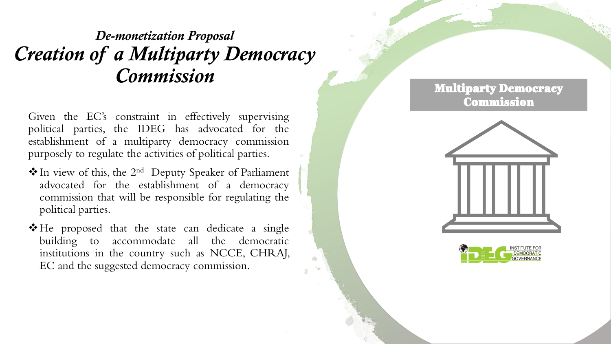#### *De-monetization Proposal Creation of a Multiparty Democracy Commission*

Given the EC's constraint in effectively supervising political parties, the IDEG has advocated for the establishment of a multiparty democracy commission purposely to regulate the activities of political parties .

- ◆ In view of this, the 2<sup>nd</sup> Deputy Speaker of Parliament advocated for the establishment of a democracy commission that will be responsible for regulating the political parties .
- ❖He proposed that the state can dedicate a single building to accommodate all the democratic institutions in the country such as NCCE, CHRAJ, EC and the suggested democracy commission .

#### Multiparty Democracy Commission



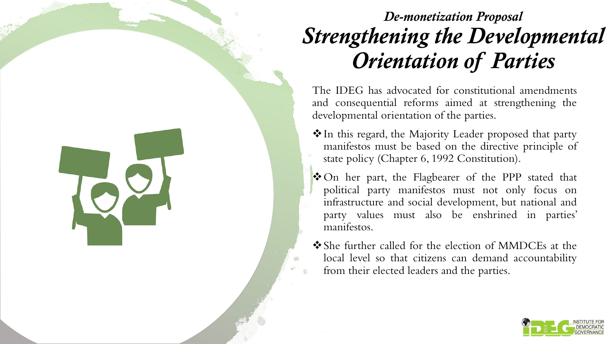## *De-monetization Proposal Strengthening the Developmental Orientation of Parties*

The IDEG has advocated for constitutional amendments and consequential reforms aimed at strengthening the developmental orientation of the parties.

- ❖In this regard, the Majority Leader proposed that party manifestos must be based on the directive principle of state policy (Chapter 6, 1992 Constitution).
- ❖On her part, the Flagbearer of the PPP stated that political party manifestos must not only focus on infrastructure and social development, but national and party values must also be enshrined in parties' manifestos.
- ❖She further called for the election of MMDCEs at the local level so that citizens can demand accountability from their elected leaders and the parties.

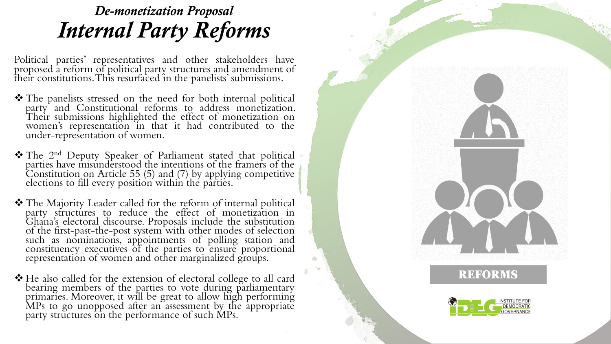#### *De-monetization Proposal Internal Party Reforms*

Political parties' representatives and other stakeholders have proposed a reform of political party structures and amendment of their constitutions .This resurfaced in the panelists' submissions .

- ❖ The panelists stressed on the need for both internal political party and Constitutional reforms to address monetization . Their submissions highlighted the effect of monetization on women's representation in that it had contributed to the under -representation of women .
- \* The 2<sup>nd</sup> Deputy Speaker of Parliament stated that political parties have misunderstood the intentions of the framers of the Constitution on Article 55 ( 5 ) and ( 7 ) by applying competitive elections to fill every position within the parties.
- ❖ The Majority Leader called for the reform of internal political party structures to reduce the effect of monetization in Ghana's electoral discourse . Proposals include the substitution of the first -past -the -post system with other modes of selection such as nominations, appointments of polling station and constituency executives of the parties to ensure proportional representation of women and other marginalized groups .
- ❖ He also called for the extension of electoral college to all card bearing members of the parties to vote during parliamentary primaries . Moreover, it will be great to allow high performing MPs to go unopposed after an assessment by the appropriate party structures on the performance of such MPs.



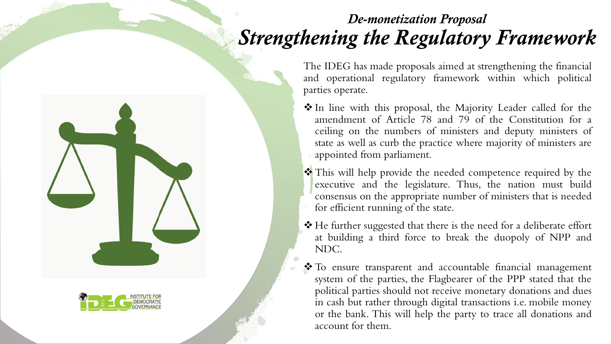#### *De-monetization Proposal Strengthening the Regulatory Framework*

The IDEG has made proposals aimed at strengthening the financial and operational regulatory framework within which political parties operate.

- ❖ In line with this proposal, the Majority Leader called for the amendment of Article 78 and 79 of the Constitution for a ceiling on the numbers of ministers and deputy ministers of state as well as curb the practice where majority of ministers are appointed from parliament.
- ❖ This will help provide the needed competence required by the executive and the legislature. Thus, the nation must build consensus on the appropriate number of ministers that is needed for efficient running of the state.
- ❖ He further suggested that there is the need for a deliberate effort at building a third force to break the duopoly of NPP and NDC.
- ❖ To ensure transparent and accountable financial management system of the parties, the Flagbearer of the PPP stated that the political parties should not receive monetary donations and dues in cash but rather through digital transactions i.e. mobile money or the bank. This will help the party to trace all donations and account for them.